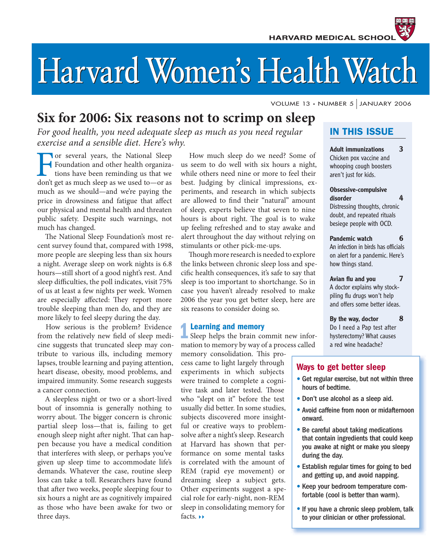# Harvard Women's Health Watch

VOLUME 13 • NUMBER 5 JANUARY 2006

# **Six for 2006: Six reasons not to scrimp on sleep**

*For good health, you need adequate sleep as much as you need regular exercise and a sensible diet. Here's why.*

Foundation and other health organiza-<br>tions have been reminding us that we<br>don't get as much sleep as we used to—or as Foundation and other health organizations have been reminding us that we don't get as much sleep as we used to—or as much as we should—and we're paying the price in drowsiness and fatigue that affect our physical and mental health and threaten public safety. Despite such warnings, not much has changed.

The National Sleep Foundation's most recent survey found that, compared with 1998, more people are sleeping less than six hours a night. Average sleep on work nights is 6.8 hours—still short of a good night's rest. And sleep difficulties, the poll indicates, visit 75% of us at least a few nights per week. Women are especially affected: They report more trouble sleeping than men do, and they are more likely to feel sleepy during the day.

How serious is the problem? Evidence from the relatively new field of sleep medicine suggests that truncated sleep may contribute to various ills, including memory lapses, trouble learning and paying attention, heart disease, obesity, mood problems, and impaired immunity. Some research suggests a cancer connection.

A sleepless night or two or a short-lived bout of insomnia is generally nothing to worry about. The bigger concern is chronic partial sleep loss—that is, failing to get enough sleep night after night. That can happen because you have a medical condition that interferes with sleep, or perhaps you've given up sleep time to accommodate life's demands. Whatever the case, routine sleep loss can take a toll. Researchers have found that after two weeks, people sleeping four to six hours a night are as cognitively impaired as those who have been awake for two or three days.

How much sleep do we need? Some of us seem to do well with six hours a night, while others need nine or more to feel their best. Judging by clinical impressions, experiments, and research in which subjects are allowed to find their "natural" amount of sleep, experts believe that seven to nine hours is about right. The goal is to wake up feeling refreshed and to stay awake and alert throughout the day without relying on stimulants or other pick-me-ups.

Though more research is needed to explore the links between chronic sleep loss and specific health consequences, it's safe to say that sleep is too important to shortchange. So in case you haven't already resolved to make 2006 the year you get better sleep, here are six reasons to consider doing so.

# **1Learning and memory**

Sleep helps the brain commit new information to memory by way of a process called

memory consolidation. This process came to light largely through experiments in which subjects were trained to complete a cognitive task and later tested. Those who "slept on it" before the test usually did better. In some studies, subjects discovered more insightful or creative ways to problemsolve after a night's sleep. Research at Harvard has shown that performance on some mental tasks is correlated with the amount of REM (rapid eye movement) or dreaming sleep a subject gets. Other experiments suggest a special role for early-night, non-REM sleep in consolidating memory for facts.  $\rightarrow$ 

# **IN THIS ISSUE**

**Adult immunizations 3** Chicken pox vaccine and whooping cough boosters aren't just for kids.

### **Obsessive-compulsive disorder 4**

Distressing thoughts, chronic doubt, and repeated rituals besiege people with OCD.

**Pandemic watch 6** An infection in birds has officials on alert for a pandemic. Here's how things stand.

Avian flu and you **7** A doctor explains why stockpiling flu drugs won't help and offers some better ideas.

**By the way, doctor 8** Do I need a Pap test after hysterectomy? What causes a red wine headache?

# **Ways to get better sleep**

- Get regular exercise, but not within three hours of bedtime.
- Don't use alcohol as a sleep aid.
- Avoid caffeine from noon or midafternoon onward.
- Be careful about taking medications that contain ingredients that could keep you awake at night or make you sleepy during the day.
- Establish regular times for going to bed and getting up, and avoid napping.
- Keep your bedroom temperature comfortable (cool is better than warm).
- If you have a chronic sleep problem, talk to your clinician or other professional.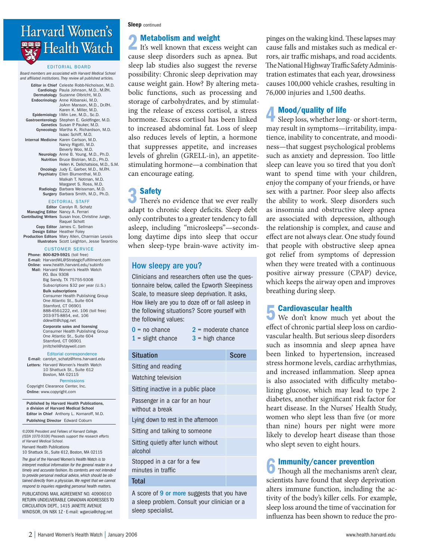# Harvard Women's **Health Watch**

EDITORIAL BOARD

Board members are associated with Harvard Medical School and affiliated institutions. They review all published articles.

| Editor in Chief Celeste Robb-Nicholson, M.D.<br>Cardiology Paula Johnson, M.D., M.P.H.<br>Dermatology Suzanne Olbricht, M.D.<br>Endocrinology Anne Klibanski, M.D.<br>JoAnn Manson, M.D., Dr.P.H.<br>Karen K. Miller, M.D. |
|----------------------------------------------------------------------------------------------------------------------------------------------------------------------------------------------------------------------------|
| Epidemiology I-Min Lee, M.D., Sc.D.                                                                                                                                                                                        |
| Gastroenterology Stephen E. Goldfinger, M.D.                                                                                                                                                                               |
| Genetics Susan P. Pauker, M.D.                                                                                                                                                                                             |
| Gynecology Martha K. Richardson, M.D.                                                                                                                                                                                      |
| Isaac Schiff, M.D.                                                                                                                                                                                                         |
| Internal Medicine Karen Carlson, M.D.                                                                                                                                                                                      |
| Nancy Rigotti, M.D.                                                                                                                                                                                                        |
| Beverly Woo, M.D.                                                                                                                                                                                                          |
| Neurology Anne B. Young, M.D., Ph.D.                                                                                                                                                                                       |
| Nutrition Bruce Bistrian, M.D., Ph.D.                                                                                                                                                                                      |
| Helen K. Delichatsios, M.D., S.M.                                                                                                                                                                                          |
| Oncology Judy E. Garber, M.D., M.P.H.                                                                                                                                                                                      |
| Psychiatry Ellen Blumenthal, M.D.                                                                                                                                                                                          |
| Malkah T. Notman, M.D.<br>Margaret S. Ross, M.D.<br>Radiology Barbara Weissman, M.D.                                                                                                                                       |
| Surgery Barbara Smith, M.D., Ph.D.                                                                                                                                                                                         |

EDITORIAL STAFF

|                                  | Editor Carolyn R. Schatz                          |
|----------------------------------|---------------------------------------------------|
| Managing Editor Nancy A. Ferrari |                                                   |
|                                  | Contributing Writers Susan Ince, Christine Junge, |
|                                  | Raquel Schott                                     |
|                                  | Copy Editor James C. Sellman                      |
|                                  | Design Editor Heather Foley                       |
|                                  | Production Editors Mary Allen, Charmian Lessis    |
|                                  | Illustrators Scott Leighton, Jesse Tarantino      |
|                                  |                                                   |

### CUSTOMER SERVICE

Phone: 800-829-5921 (toll free) E-mail: HarvardWL@StrategicFulfillment.com Online: www.health.harvard.edu/subinfo Mail: Harvard Women's Health Watch P.O. Box 9308 Big Sandy, TX 75755-9308 Subscriptions \$32 per year (U.S.) Bulk subscriptions Consumer Health Publishing Group One Atlantic St., Suite 604 Stamford, CT 06901 888-456-1222, ext. 106 (toll free) 203-975-8854, ext. 106 ddewitt@chpg.net Corporate sales and licensing Consumer Health Publishing Group One Atlantic St., Suite 604 Stamford, CT 06901 jmitchell@staywell.com

Editorial correspondence

E-mail: carolyn\_schatz@hms.harvard.edu Letters: Harvard Women's Health Watch 10 Shattuck St., Suite 612 Boston, MA 02115 **Permissions** 

 Copyright Clearance Center, Inc. Online: www.copyright.com

Published by Harvard Health Publications, a division of Harvard Medical School Editor in Chief Anthony L. Komaroff, M.D. Publishing Director Edward Coburn

©2006 President and Fellows of Harvard College. (ISSN 1070-910X) Proceeds support the research efforts of Harvard Medical School. Harvard Health Publications 10 Shattuck St., Suite 612, Boston, MA 02115

The goal of the Harvard Women's Health Watch is to interpret medical information for the general reader in a timely and accurate fashion. Its contents are not intended to provide personal medical advice, which should be obtained directly from a physician. We regret that we cannot respond to inquiries regarding personal health matters.

PUBLICATIONS MAIL AGREEMENT NO. 40906010 RETURN UNDELIVERABLE CANADIAN ADDRESSES TO CIRCULATION DEPT., 1415 JANETTE AVENUE WINDSOR, ON N8X 1Z • E-mail: wgarcia@chpg.net

### **Sleep** continued

**2 Metabolism and weight**<br>It's well known that excess weight can cause sleep disorders such as apnea. But sleep lab studies also suggest the reverse possibility: Chronic sleep deprivation may cause weight gain. How? By altering metabolic functions, such as processing and storage of carbohydrates, and by stimulating the release of excess cortisol, a stress hormone. Excess cortisol has been linked to increased abdominal fat. Loss of sleep also reduces levels of leptin, a hormone that suppresses appetite, and increases levels of ghrelin (GRELL-in), an appetitestimulating hormone—a combination that can encourage eating.

**3 Safety**<br>
There's no evidence that we ever really adapt to chronic sleep deficits. Sleep debt only contributes to a greater tendency to fall asleep, including "microsleeps"—secondslong daytime dips into sleep that occur when sleep-type brain-wave activity im-

# How sleepy are you?

Clinicians and researchers often use the questionnaire below, called the Epworth Sleepiness Scale, to measure sleep deprivation. It asks, How likely are you to doze off or fall asleep in the following situations? Score yourself with the following values:

2 = moderate chance

 $0 = no$  chance

 $1$  = slight chance  $3$  = high chance

Situation Score Score Sitting and reading Watching television Sitting inactive in a public place Passenger in a car for an hour without a break Lying down to rest in the afternoon Sitting and talking to someone Sitting quietly after lunch without alcohol Stopped in a car for a few minutes in traffic **Total** 

A score of 9 or more suggests that you have a sleep problem. Consult your clinician or a sleep specialist.

pinges on the waking kind. These lapses may cause falls and mistakes such as medical errors, air traffic mishaps, and road accidents. The National Highway Traffic Safety Administration estimates that each year, drowsiness causes 100,000 vehicle crashes, resulting in 76,000 injuries and 1,500 deaths.

**4 Mood/quality of life**<br>Sleep loss, whether long- or short-term, may result in symptoms—irritability, impatience, inability to concentrate, and moodiness—that suggest psychological problems such as anxiety and depression. Too little sleep can leave you so tired that you don't want to spend time with your children, enjoy the company of your friends, or have sex with a partner. Poor sleep also affects the ability to work. Sleep disorders such as insomnia and obstructive sleep apnea are associated with depression, although the relationship is complex, and cause and effect are not always clear. One study found that people with obstructive sleep apnea got relief from symptoms of depression when they were treated with a continuous positive airway pressure (CPAP) device, which keeps the airway open and improves breathing during sleep.

**5 Cardiovascular health**<br> **5** We don't know much yet about the effect of chronic partial sleep loss on cardiovascular health. But serious sleep disorders such as insomnia and sleep apnea have been linked to hypertension, increased stress hormone levels, cardiac arrhythmias, and increased inflammation. Sleep apnea is also associated with difficulty metabolizing glucose, which may lead to type 2 diabetes, another significant risk factor for heart disease. In the Nurses' Health Study, women who slept less than five (or more than nine) hours per night were more likely to develop heart disease than those who slept seven to eight hours.

# **6Immunity/cancer prevention**

Though all the mechanisms aren't clear, scientists have found that sleep deprivation alters immune function, including the activity of the body's killer cells. For example, sleep loss around the time of vaccination for influenza has been shown to reduce the pro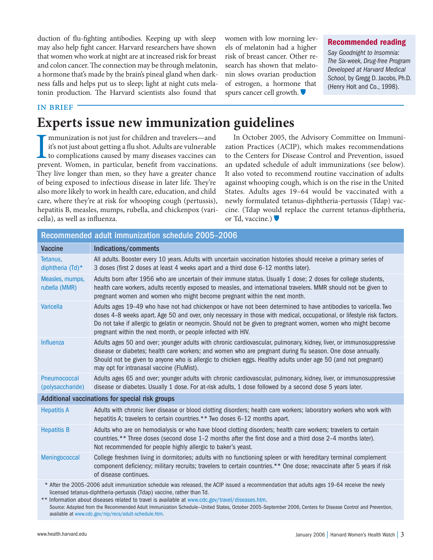duction of flu-fighting antibodies. Keeping up with sleep may also help fight cancer. Harvard researchers have shown that women who work at night are at increased risk for breast and colon cancer. The connection may be through melatonin, a hormone that's made by the brain's pineal gland when darkness falls and helps put us to sleep; light at night cuts melatonin production. The Harvard scientists also found that

women with low morning levels of melatonin had a higher risk of breast cancer. Other research has shown that melatonin slows ovarian production of estrogen, a hormone that spurs cancer cell growth.

## **Recommended reading**

Say Goodnight to Insomnia: The Six-week, Drug-free Program Developed at Harvard Medical School, by Gregg D. Jacobs, Ph.D. (Henry Holt and Co., 1998).

### in brief

# **Experts issue new immunization guidelines**

Immunization is not just for children and travelers—and it's not just about getting a flu shot. Adults are vulnerable to complications caused by many diseases vaccines can prevent. Women, in particular, benefit from vaccin mmunization is not just for children and travelers—and it's not just about getting a flu shot. Adults are vulnerable to complications caused by many diseases vaccines can They live longer than men, so they have a greater chance of being exposed to infectious disease in later life. They're also more likely to work in health care, education, and child care, where they're at risk for whooping cough (pertussis), hepatitis B, measles, mumps, rubella, and chickenpox (varicella), as well as influenza.

In October 2005, the Advisory Committee on Immunization Practices (ACIP), which makes recommendations to the Centers for Disease Control and Prevention, issued an updated schedule of adult immunizations (see below). It also voted to recommend routine vaccination of adults against whooping cough, which is on the rise in the United States. Adults ages 19–64 would be vaccinated with a newly formulated tetanus-diphtheria-pertussis (Tdap) vaccine. (Tdap would replace the current tetanus-diphtheria, or Td, vaccine.) ●

### Recommended adult immunization schedule 2005–2006 Vaccine Indications/comments Tetanus, diphtheria (Td)\* All adults. Booster every 10 years. Adults with uncertain vaccination histories should receive a primary series of 3 doses (first 2 doses at least 4 weeks apart and a third dose 6-12 months later). Measles, mumps, rubella (MMR) Adults born after 1956 who are uncertain of their immune status. Usually 1 dose; 2 doses for college students, health care workers, adults recently exposed to measles, and international travelers. MMR should not be given to pregnant women and women who might become pregnant within the next month. Varicella Adults ages 19–49 who have not had chickenpox or have not been determined to have antibodies to varicella. Two doses 4–8 weeks apart. Age 50 and over, only necessary in those with medical, occupational, or lifestyle risk factors. Do not take if allergic to gelatin or neomycin. Should not be given to pregnant women, women who might become pregnant within the next month, or people infected with HIV. Influenza Adults ages 50 and over; younger adults with chronic cardiovascular, pulmonary, kidney, liver, or immunosuppressive disease or diabetes; health care workers; and women who are pregnant during flu season. One dose annually. Should not be given to anyone who is allergic to chicken eggs. Healthy adults under age 50 (and not pregnant) may opt for intranasal vaccine (FluMist). Pneumococcal (polysaccharide) Adults ages 65 and over; younger adults with chronic cardiovascular, pulmonary, kidney, liver, or immunosuppressive disease or diabetes. Usually 1 dose. For at-risk adults, 1 dose followed by a second dose 5 years later. Additional vaccinations for special risk groups Hepatitis A Adults with chronic liver disease or blood clotting disorders; health care workers; laboratory workers who work with hepatitis A; travelers to certain countries.\*\* Two doses 6-12 months apart. Hepatitis B Adults who are on hemodialysis or who have blood clotting disorders; health care workers; travelers to certain countries.\*\* Three doses (second dose 1-2 months after the first dose and a third dose 2-4 months later). Not recommended for people highly allergic to baker's yeast. Meningococcal College freshmen living in dormitories; adults with no functioning spleen or with hereditary terminal complement component deficiency; military recruits; travelers to certain countries.\*\* One dose; revaccinate after 5 years if risk of disease continues. \* After the 2005–2006 adult immunization schedule was released, the ACIP issued a recommendation that adults ages 19–64 receive the newly licensed tetanus-diphtheria-pertussis (Tdap) vaccine, rather than Td. \*\* Information about diseases related to travel is available at www.cdc.gov/travel/diseases.htm.

Source: Adapted from the Recommended Adult Immunization Schedule—United States, October 2005–September 2006, Centers for Disease Control and Prevention, available at www.cdc.gov/nip/recs/adult-schedule.htm.